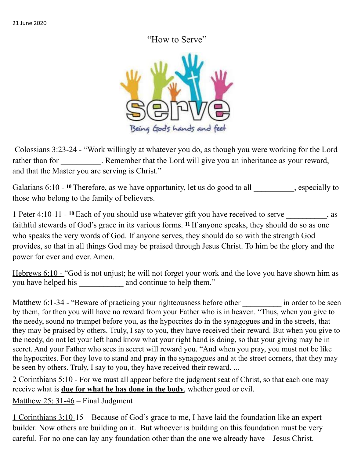## "How to Serve"



Colossians 3:23-24 - "Work willingly at whatever you do, as though you were working for the Lord rather than for \_\_\_\_\_\_\_\_\_. Remember that the Lord will give you an inheritance as your reward, and that the Master you are serving is Christ."

Galatians 6:10 - <sup>10</sup> Therefore, as we have opportunity, let us do good to all especially to those who belong to the family of believers.

1 Peter 4:10-11 - **10** Each of you should use whatever gift you have received to serve \_\_\_\_\_\_\_\_\_\_, as faithful stewards of God's grace in its various forms. **11** If anyone speaks, they should do so as one who speaks the very words of God. If anyone serves, they should do so with the strength God provides, so that in all things God may be praised through Jesus Christ. To him be the glory and the power for ever and ever. Amen.

Hebrews 6:10 - "God is not unjust; he will not forget your work and the love you have shown him as you have helped his \_\_\_\_\_\_\_\_\_\_\_ and continue to help them."

Matthew 6:1-34 - "Beware of practicing your righteousness before other in order to be seen by them, for then you will have no reward from your Father who is in heaven. "Thus, when you give to the needy, sound no trumpet before you, as the hypocrites do in the synagogues and in the streets, that they may be praised by others. Truly, I say to you, they have received their reward. But when you give to the needy, do not let your left hand know what your right hand is doing, so that your giving may be in secret. And your Father who sees in secret will reward you. "And when you pray, you must not be like the hypocrites. For they love to stand and pray in the synagogues and at the street corners, that they may be seen by others. Truly, I say to you, they have received their reward. ...

2 Corinthians 5:10 - For we must all appear before the judgment seat of Christ, so that each one may receive what is **due for what he has done in the body**, whether good or evil.

Matthew 25: 31-46 – Final Judgment

1 Corinthians 3:10-15 – Because of God's grace to me, I have laid the foundation like an expert builder. Now others are building on it. But whoever is building on this foundation must be very careful. For no one can lay any foundation other than the one we already have – Jesus Christ.